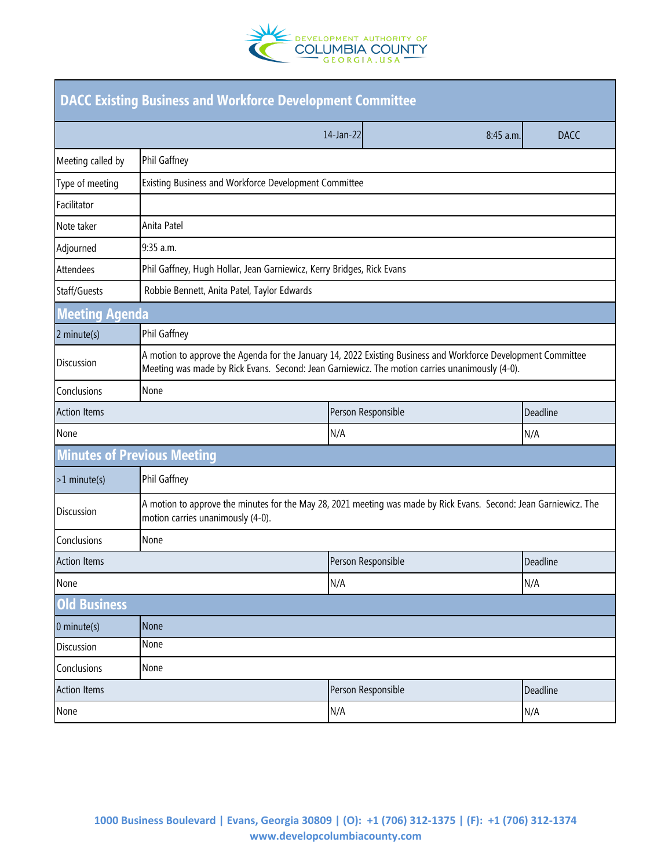

| <b>DACC Existing Business and Workforce Development Committee</b> |                                                                                                                                                                                                                 |                        |             |  |  |  |
|-------------------------------------------------------------------|-----------------------------------------------------------------------------------------------------------------------------------------------------------------------------------------------------------------|------------------------|-------------|--|--|--|
|                                                                   |                                                                                                                                                                                                                 | 14-Jan-22<br>8:45 a.m. | <b>DACC</b> |  |  |  |
| Meeting called by                                                 | Phil Gaffney                                                                                                                                                                                                    |                        |             |  |  |  |
| Type of meeting                                                   | Existing Business and Workforce Development Committee                                                                                                                                                           |                        |             |  |  |  |
| Facilitator                                                       |                                                                                                                                                                                                                 |                        |             |  |  |  |
| Note taker                                                        | Anita Patel                                                                                                                                                                                                     |                        |             |  |  |  |
| Adjourned                                                         | 9:35 a.m.                                                                                                                                                                                                       |                        |             |  |  |  |
| <b>Attendees</b>                                                  | Phil Gaffney, Hugh Hollar, Jean Garniewicz, Kerry Bridges, Rick Evans                                                                                                                                           |                        |             |  |  |  |
| Staff/Guests                                                      | Robbie Bennett, Anita Patel, Taylor Edwards                                                                                                                                                                     |                        |             |  |  |  |
| <b>Meeting Agenda</b>                                             |                                                                                                                                                                                                                 |                        |             |  |  |  |
| 2 minute(s)                                                       | Phil Gaffney                                                                                                                                                                                                    |                        |             |  |  |  |
| <b>Discussion</b>                                                 | A motion to approve the Agenda for the January 14, 2022 Existing Business and Workforce Development Committee<br>Meeting was made by Rick Evans. Second: Jean Garniewicz. The motion carries unanimously (4-0). |                        |             |  |  |  |
| Conclusions                                                       | None                                                                                                                                                                                                            |                        |             |  |  |  |
| <b>Action Items</b>                                               |                                                                                                                                                                                                                 | Person Responsible     | Deadline    |  |  |  |
| None                                                              |                                                                                                                                                                                                                 | N/A                    | N/A         |  |  |  |
| <b>Minutes of Previous Meeting</b>                                |                                                                                                                                                                                                                 |                        |             |  |  |  |
| $>1$ minute(s)                                                    | Phil Gaffney                                                                                                                                                                                                    |                        |             |  |  |  |
| <b>Discussion</b>                                                 | A motion to approve the minutes for the May 28, 2021 meeting was made by Rick Evans. Second: Jean Garniewicz. The<br>motion carries unanimously (4-0).                                                          |                        |             |  |  |  |
| Conclusions                                                       | None                                                                                                                                                                                                            |                        |             |  |  |  |
| <b>Action Items</b>                                               |                                                                                                                                                                                                                 | Person Responsible     | Deadline    |  |  |  |
| None                                                              |                                                                                                                                                                                                                 | N/A                    | N/A         |  |  |  |
| <b>Old Business</b>                                               |                                                                                                                                                                                                                 |                        |             |  |  |  |
| 0 minute(s)                                                       | None                                                                                                                                                                                                            |                        |             |  |  |  |
| <b>Discussion</b>                                                 | None                                                                                                                                                                                                            |                        |             |  |  |  |
| Conclusions                                                       | None                                                                                                                                                                                                            |                        |             |  |  |  |
| <b>Action Items</b>                                               |                                                                                                                                                                                                                 | Person Responsible     | Deadline    |  |  |  |
| None                                                              |                                                                                                                                                                                                                 | N/A                    | N/A         |  |  |  |